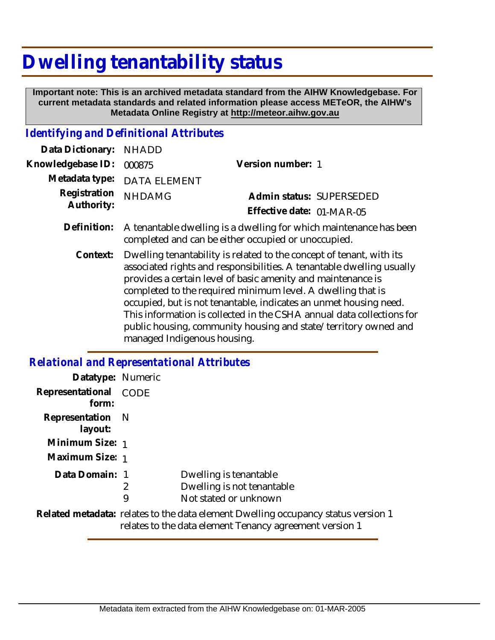## **Dwelling tenantability status**

 **Important note: This is an archived metadata standard from the AIHW Knowledgebase. For current metadata standards and related information please access METeOR, the AIHW's Metadata Online Registry at http://meteor.aihw.gov.au**

## *Identifying and Definitional Attributes*

| Data Dictionary:           | <b>NHADD</b>                                                                                                                                                                                                                                                                                                                                                                                                                                                                                                                 |                           |
|----------------------------|------------------------------------------------------------------------------------------------------------------------------------------------------------------------------------------------------------------------------------------------------------------------------------------------------------------------------------------------------------------------------------------------------------------------------------------------------------------------------------------------------------------------------|---------------------------|
| Knowledgebase ID:          | 000875                                                                                                                                                                                                                                                                                                                                                                                                                                                                                                                       | Version number: 1         |
| Metadata type:             | <b>DATA ELEMENT</b>                                                                                                                                                                                                                                                                                                                                                                                                                                                                                                          |                           |
| Registration<br>Authority: | <b>NHDAMG</b>                                                                                                                                                                                                                                                                                                                                                                                                                                                                                                                | Admin status: SUPERSEDED  |
|                            |                                                                                                                                                                                                                                                                                                                                                                                                                                                                                                                              | Effective date: 01-MAR-05 |
| Definition:                | A tenantable dwelling is a dwelling for which maintenance has been<br>completed and can be either occupied or unoccupied.                                                                                                                                                                                                                                                                                                                                                                                                    |                           |
| Context:                   | Dwelling tenantability is related to the concept of tenant, with its<br>associated rights and responsibilities. A tenantable dwelling usually<br>provides a certain level of basic amenity and maintenance is<br>completed to the required minimum level. A dwelling that is<br>occupied, but is not tenantable, indicates an unmet housing need.<br>This information is collected in the CSHA annual data collections for<br>public housing, community housing and state/territory owned and<br>managed Indigenous housing. |                           |

## *Relational and Representational Attributes*

| Datatype: Numeric           |             |                                                                                                                                              |
|-----------------------------|-------------|----------------------------------------------------------------------------------------------------------------------------------------------|
| Representational<br>form:   | <b>CODE</b> |                                                                                                                                              |
| Representation N<br>layout: |             |                                                                                                                                              |
| Minimum Size: 1             |             |                                                                                                                                              |
| Maximum Size: 1             |             |                                                                                                                                              |
| Data Domain: 1              | 2<br>9      | Dwelling is tenantable<br>Dwelling is not tenantable<br>Not stated or unknown                                                                |
|                             |             | Related metadata: relates to the data element Dwelling occupancy status version 1<br>relates to the data element Tenancy agreement version 1 |